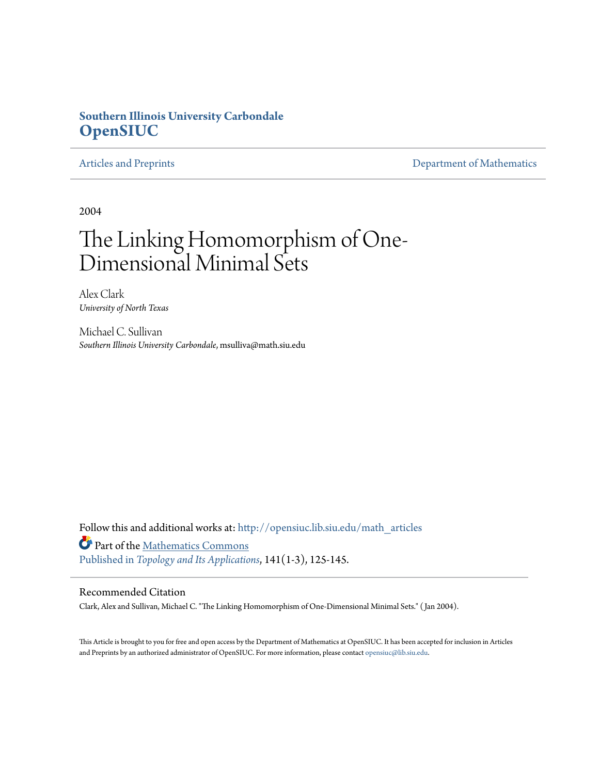## **Southern Illinois University Carbondale [OpenSIUC](http://opensiuc.lib.siu.edu?utm_source=opensiuc.lib.siu.edu%2Fmath_articles%2F77&utm_medium=PDF&utm_campaign=PDFCoverPages)**

[Articles and Preprints](http://opensiuc.lib.siu.edu/math_articles?utm_source=opensiuc.lib.siu.edu%2Fmath_articles%2F77&utm_medium=PDF&utm_campaign=PDFCoverPages) **[Department of Mathematics](http://opensiuc.lib.siu.edu/math?utm_source=opensiuc.lib.siu.edu%2Fmath_articles%2F77&utm_medium=PDF&utm_campaign=PDFCoverPages)** 

2004

# The Linking Homomorphism of One-Dimensional Minimal Sets

Alex Clark *University of North Texas*

Michael C. Sullivan *Southern Illinois University Carbondale*, msulliva@math.siu.edu

Follow this and additional works at: [http://opensiuc.lib.siu.edu/math\\_articles](http://opensiuc.lib.siu.edu/math_articles?utm_source=opensiuc.lib.siu.edu%2Fmath_articles%2F77&utm_medium=PDF&utm_campaign=PDFCoverPages) Part of the [Mathematics Commons](http://network.bepress.com/hgg/discipline/174?utm_source=opensiuc.lib.siu.edu%2Fmath_articles%2F77&utm_medium=PDF&utm_campaign=PDFCoverPages) [Published in](http://dx.doi.org/10.1016/j.topol.2003.11.005) *[Topology and Its Applications](http://www.elsevier.com/wps/find/journaldescription.cws_home/505624/description#description)*, 141(1-3), 125-145.

### Recommended Citation

Clark, Alex and Sullivan, Michael C. "The Linking Homomorphism of One-Dimensional Minimal Sets." ( Jan 2004).

This Article is brought to you for free and open access by the Department of Mathematics at OpenSIUC. It has been accepted for inclusion in Articles and Preprints by an authorized administrator of OpenSIUC. For more information, please contact [opensiuc@lib.siu.edu](mailto:opensiuc@lib.siu.edu).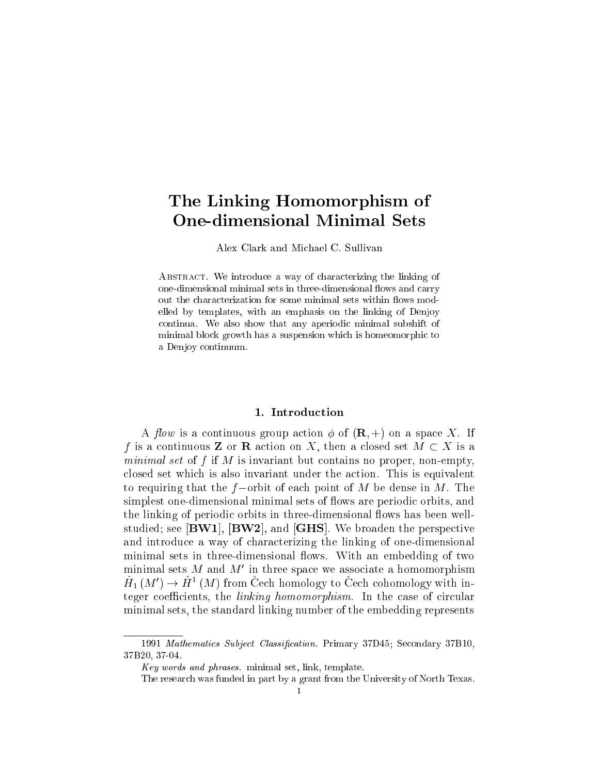# The Linking Homomorphism  $\mathcal{L}_1$  is the Linking Homomorphism of the Linking Homomorphism of the Linking Homomorphism  $\mathcal{L}_2$

Alex Clark and Michael C. Sullivan

ABSTRACT. We introduce a way of characterizing the linking of one-dimensional minimal sets in three-dimensional flows and carry out the characterization for some minimal sets within flows modelled by templates, with an emphasis on the linking of Denjoy continua. We also show that any aperiodic minimal subshift of minimal block growth has a suspension which is homeomorphic to a Denjoy continuum.

A flow is a continuous group action  $\phi$  of  $(\mathbf{R},+)$  on a space X. If f is a continuous **Z** or **R** action on X, then a closed set  $M \subset X$  is a minimal set of  $f$  if  $M$  is invariant but contains no proper, non-empty, closed set which is also invariant under the action. This is equivalent to requiring that the  $f$ -orbit of each point of M be dense in M. The simplest one-dimensional minimal sets of flows are periodic orbits, and the linking of periodic orbits in three-dimensional flows has been wellstudied; see [BW1], [BW2], and [GHS]. We broaden the perspective and introduce a way of characterizing the linking of one-dimensional minimal sets in three-dimensional flows. With an embedding of two minimal sets M and M' in three space we associate a homomorphism  $H_1(M') \to H^1(M)$  from Cech homology to Cech cohomology with integer coefficients, the *linking homomorphism*. In the case of circular minimal sets, the standard linking number of the embedding represents

<sup>1991</sup> Mathematics Subject Classification. Primary 37D45; Secondary 37B10, 37B20, 37-04.

Key words and phrases. minimal set, link, template.

The research was funded in part by a grant from the University of North Texas.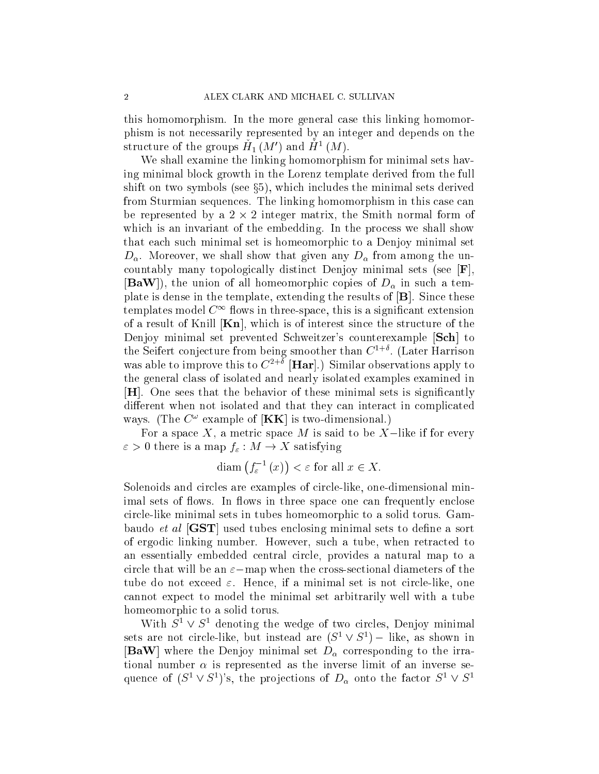this homomorphism. In the more general case this linking homomorphism is not necessarily represented by an integer and depends on the structure of the groups  $H_1(M')$  and  $H^1(M)$ .

We shall examine the linking homomorphism for minimal sets having minimal block growth in the Lorenz template derived from the full shift on two symbols (see  $\S5$ ), which includes the minimal sets derived from Sturmian sequences. The linking homomorphism in this case can be represented by a 2 - 2 integer matrix, the Smith normal form of which is an invariant of the embedding. In the process we shall show that each such minimal set is homeomorphic to a Denjoy minimal set  $D_{\alpha}$ . Moreover, we shall show that given any  $D_{\alpha}$  from among the uncountably many topologically distinct Denjoy minimal sets (see [F], **[BaW**]), the union of all homeomorphic copies of  $D_{\alpha}$  in such a template is dense in the template, extending the results of [B]. Since these templates model  $C^{\infty}$  flows in three-space, this is a significant extension of a result of Knill  $[Kn]$ , which is of interest since the structure of the Denjoy minimal set prevented Schweitzer's counterexample [Sch] to the Seifert conjecture from being smoother than  $C^{1+\delta}$ . (Later Harrison was able to improve this to  $C^{2+\delta}$  [Har].) Similar observations apply to the general class of isolated and nearly isolated examples examined in [H]. One sees that the behavior of these minimal sets is signicantly different when not isolated and that they can interact in complicated ways. (The  $C^{\omega}$  example of  $[KK]$  is two-dimensional.)

For a space  $X$ , a metric space  $M$  is said to be  $X$ -like if for every  $\varepsilon > 0$  there is a map  $f_{\varepsilon}: M \to X$  satisfying

$$
\text{diam}(f_{\varepsilon}^{-1}(x)) < \varepsilon \text{ for all } x \in X.
$$

Solenoids and circles are examples of circle-like, one-dimensional minimal sets of flows. In flows in three space one can frequently enclose circle-like minimal sets in tubes homeomorphic to a solid torus. Gambaudo *et al*  $[GST]$  used tubes enclosing minimal sets to define a sort of ergodic linking number. However, such a tube, when retracted to an essentially embedded central circle, provides a natural map to a circle that will be an  $\varepsilon$ -map when the cross-sectional diameters of the tube do not exceed  $\varepsilon$ . Hence, if a minimal set is not circle-like, one cannot expect to model the minimal set arbitrarily well with a tube homeomorphic to a solid torus.

With  $S^1 \vee S^1$  denoting the wedge of two circles, Denjoy minimal sets are not circle-like, but instead are  $(S^1 \vee S^1)$  – like, as shown in [BaW] where the Denjoy minimal set  $D_{\alpha}$  corresponding to the irrational number  $\alpha$  is represented as the inverse limit of an inverse sequence of  $(S^1 \vee S^1)$ 's, the projections of  $D_\alpha$  onto the factor  $S^1 \vee S^1$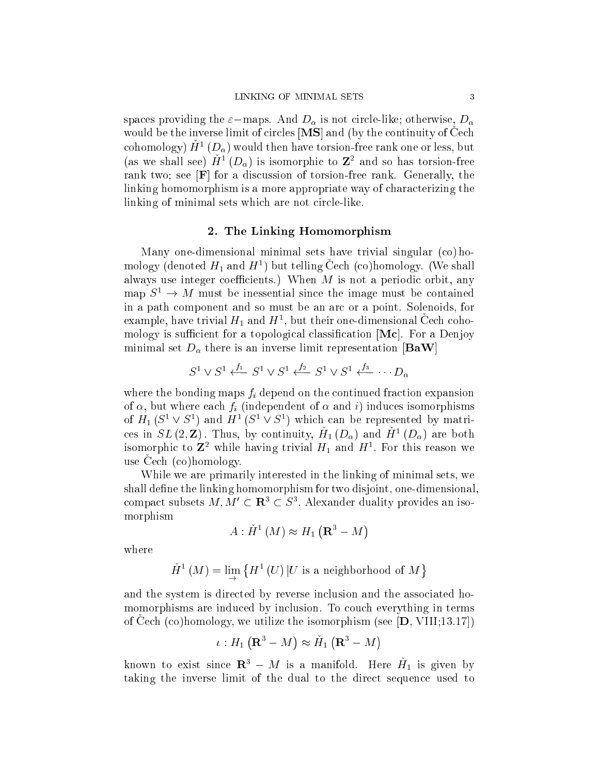spaces providing the  $\varepsilon$ -maps. And  $D_{\alpha}$  is not circle-like; otherwise,  $D_{\alpha}$ would be the inverse limit of circles  $[MS]$  and (by the continuity of Cech cohomology)  $H^1(D_\alpha)$  would then have torsion-free rank one or less, but (as we shall see)  $H^1(D_0)$  is isomorphic to  $\mathbb{Z}^2$  and so has torsion-free rank two; see [F] for a discussion of torsion-free rank. Generally, the linking homomorphism is a more appropriate way of characterizing the linking of minimal sets which are not circle-like.

#### 2. The Linking Homomorphism

Many one-dimensional minimal sets have trivial singular (co) homology (denoted  $H_1$  and  $H^1$ ) but telling Cech (co)homology. (We shall always use integer coefficients.) When  $M$  is not a periodic orbit, any map  $S^1 \to M$  must be inessential since the image must be contained in a path component and so must be an arc or a point. Solenoids, for example, have trivial  $H_1$  and  $H^1$ , but their one-dimensional Cech cohomology is sufficient for a topological classification  $[Mc]$ . For a Denjoy minimal set  $D_{\alpha}$  there is an inverse limit representation [BaW]

$$
S^1 \vee S^1 \xleftarrow{f_1} S^1 \vee S^1 \xleftarrow{f_2} S^1 \vee S^1 \xleftarrow{f_3} \cdots D_{\alpha}
$$

where the bonding maps  $f_i$  depend on the continued fraction expansion of  $\alpha$ , but where each  $f_i$  (independent of  $\alpha$  and i) induces isomorphisms of  $H_1(S^1 \vee S^1)$  and  $H^1(S^1 \vee S^1)$  which can be represented by matrices in  $SL(2,\mathbf{Z})$ . Thus, by continuity,  $H_1(D_\alpha)$  and  $H^1(D_\alpha)$  are both isomorphic to  $\mathbb{Z}^2$  while having trivial  $H_1$  and  $H^1$ . For this reason we use Cech (co)homology.

While we are primarily interested in the linking of minimal sets, we shall define the linking homomorphism for two disjoint, one-dimensional, compact subsets  $M, M' \subset \mathbf{R}^3 \subset S^3$ . Alexander duality provides an isomorphism

$$
A: \check{H}^1(M) \approx H_1(\mathbf{R}^3 - M)
$$

where

$$
\check{H}^{1}\left(M\right)=\lim_{\longrightarrow}\left\{ H^{1}\left(U\right)|U\text{ is a neighborhood of }M\right\}
$$

and the system is directed by reverse inclusion and the associated homomorphisms are induced by inclusion. To couch everything in terms of Cech  $({\rm co})$ homology, we utilize the isomorphism (see  $|{\bf D}, VIII;13.17|$ )

$$
\iota: H_1\left(\mathbf{R}^3 - M\right) \approx \check{H}_1\left(\mathbf{R}^3 - M\right)
$$

known to exist since  $\mathbf{R}^3 - M$  is a manifold. Here  $H_1$  is given by taking the inverse limit of the dual to the direct sequence used to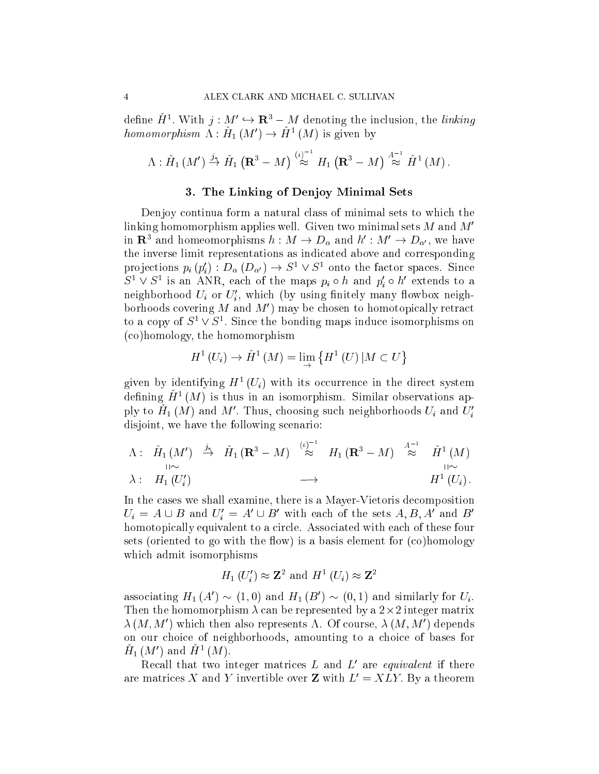define  $H^1$ . With  $j: M' \hookrightarrow \mathbf{R}^3 - M$  denoting the inclusion, the *linking* homomorphism  $\Lambda: H_1(M') \to H^1(M)$  is given by

$$
\Lambda: \check{H}_1(M') \stackrel{j_*}{\to} \check{H}_1\left(\mathbf{R}^3 - M\right) \stackrel{\left(\iota\right)^{-1}}{\approx} H_1\left(\mathbf{R}^3 - M\right) \stackrel{A^{-1}}{\approx} \check{H}^1\left(M\right).
$$

#### 3. The Linking of Denjoy Minimal Sets

Denjoy continua form a natural class of minimal sets to which the linking homomorphism applies well. Given two minimal sets  $M$  and  $M'$ in  ${\bf R}^3$  and homeomorphisms  $h:M\to D_\alpha$  and  $h':M'\to D_{\alpha'},$  we have the inverse limit representations as indicated above and corresponding projections  $p_i(p'_i) : D_\alpha(D_{\alpha'}) \to S^1 \vee S^1$  onto the factor spaces. Since  $S^1 \vee S^1$  is an ANR, each of the maps  $p_i \circ h$  and  $p'_i \circ h'$  extends to a neighborhood  $U_i$  or  $U'_i$ , which (by using finitely many flowbox neighborhoods covering M and  $M'$  may be chosen to homotopically retract to a copy of  $S^1 \vee S^1$ . Since the bonding maps induce isomorphisms on (co)homology, the homomorphism

$$
H^{1}(U_{i}) \to \check{H}^{1}(M) = \lim_{\rightarrow} \{ H^{1}(U) | M \subset U \}
$$

given by identifying  $H^+(U_i)$  with its occurrence in the direct system defining  $H^1(M)$  is thus in an isomorphism. Similar observations apply to  $H_1(M)$  and  $M'$ . Thus, choosing such neighborhoods  $U_i$  and  $U'_i$ disjoint, we have the following scenario:

$$
\begin{array}{cccc}\n\Lambda: & \check{H}_1(M') & \stackrel{j_*}{\to} & \check{H}_1(\mathbf{R}^3 - M) & \stackrel{(\iota)^{-1}}{\approx} & H_1(\mathbf{R}^3 - M) & \stackrel{A^{-1}}{\approx} & \check{H}^1(M) \\
\downarrow & & & \downarrow & & \downarrow \\
\lambda: & H_1(U_i') & \longrightarrow & & H^1(U_i) \,.\n\end{array}
$$

In the cases we shall examine, there is a Mayer-Vietoris decomposition  $U_i = A \cup B$  and  $U'_i = A' \cup B'$  with each of the sets  $A, B, A'$  and  $B'$ homotopically equivalent to a circle. Associated with each of these four sets (oriented to go with the flow) is a basis element for  $(c)$  homology which admit isomorphisms

$$
H_1(U'_i) \approx \mathbb{Z}^2
$$
 and  $H^1(U_i) \approx \mathbb{Z}^2$ 

associating  $H_1(A') \sim (1,0)$  and  $H_1(B') \sim (0,1)$  and similarly for  $U_i$ . Then the homomorphism  $\lambda$  can be represented by a  $2\times 2$  integer matrix  $\lambda\left(M,M'\right)$  which then also represents  $\Lambda.$  Of course,  $\lambda\left(M,M'\right)$  depends on our choice of neighborhoods, amounting to a choice of bases for  $H_1(M')$  and  $H^1(M)$ .

Recall that two integer matrices L and L' are *equivalent* if there are matrices X and Y invertible over Z with  $L' = XLY$ . By a theorem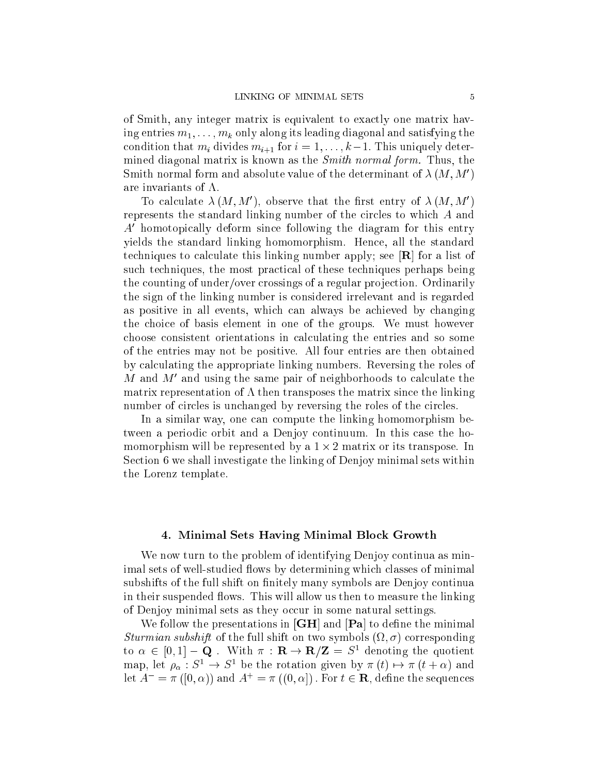of Smith, any integer matrix is equivalent to exactly one matrix having entries  $m_1, \ldots, m_k$  only along its leading diagonal and satisfying the condition that  $m_i$  divides  $m_{i+1}$  for  $i = 1, \ldots, k-1$ . This uniquely determined diagonal matrix is known as the Smith normal form. Thus, the Smith normal form and absolute value of the determinant of  $\lambda(M, M')$ are invariants of  $\Lambda$ .

To calculate  $\lambda(M, M')$ , observe that the first entry of  $\lambda(M, M')$ represents the standard linking number of the circles to which A and  $A<sup>'</sup>$  homotopically deform since following the diagram for this entry yields the standard linking homomorphism. Hence, all the standard techniques to calculate this linking number apply; see [R] for a list of such techniques, the most practical of these techniques perhaps being the counting of under/over crossings of a regular projection. Ordinarily the sign of the linking number is considered irrelevant and is regarded as positive in all events, which can always be achieved by changing the choice of basis element in one of the groups. We must however choose consistent orientations in calculating the entries and so some of the entries may not be positive. All four entries are then obtained by calculating the appropriate linking numbers. Reversing the roles of M and  $M'$  and using the same pair of neighborhoods to calculate the matrix representation of  $\Lambda$  then transposes the matrix since the linking number of circles is unchanged by reversing the roles of the circles.

In a similar way, one can compute the linking homomorphism between a periodic orbit and a Denjoy continuum. In this case the homomorphism will be represented by a 1 - 2 matrix or its transpose. In Section 6 we shall investigate the linking of Denjoy minimal sets within the Lorenz template.

#### 4. Minimal Sets Having Minimal Block Growth

We now turn to the problem of identifying Denjoy continua as minimal sets of well-studied flows by determining which classes of minimal subshifts of the full shift on finitely many symbols are Denjoy continua in their suspended flows. This will allow us then to measure the linking of Denjoy minimal sets as they occur in some natural settings.

We follow the presentations in  $\vert GH \vert$  and  $\vert Pa \vert$  to define the minimal Sturmian subshift of the full shift on two symbols  $(\Omega, \sigma)$  corresponding to  $\alpha \in [0,1] - \mathbf{Q}$ . With  $\pi : \mathbf{R} \to \mathbf{R}/\mathbf{Z} = S^1$  denoting the quotient map, let  $\rho_{\alpha}: S^1 \to S^1$  be the rotation given by  $\pi(t) \mapsto \pi(t+\alpha)$  and let  $A^- = \pi([0, \alpha))$  and  $A^+ = \pi((0, \alpha])$ . For  $t \in \mathbb{R}$ , define the sequences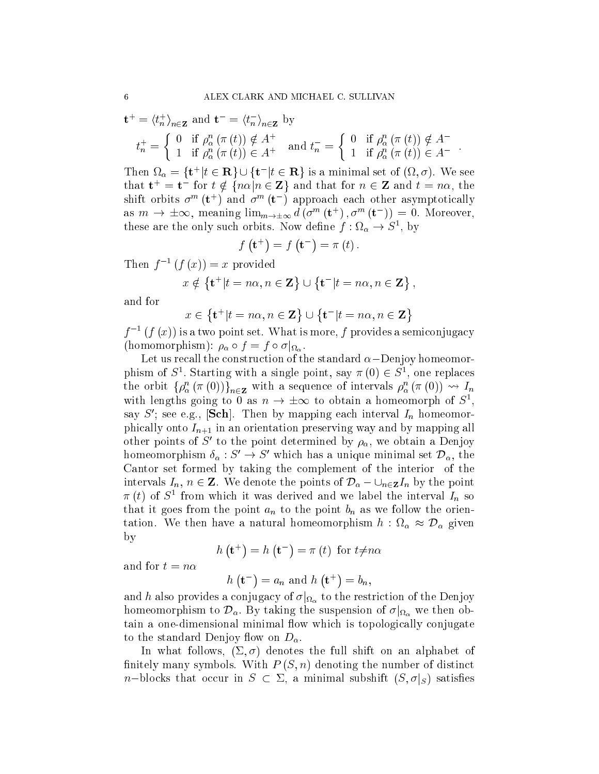$$
\mathbf{t}^+ = \langle t_n^+ \rangle_{n \in \mathbf{Z}} \text{ and } \mathbf{t}^- = \langle t_n^- \rangle_{n \in \mathbf{Z}} \text{ by}
$$
  
\n
$$
t_n^+ = \begin{cases} 0 & \text{if } \rho_\alpha^n (\pi(t)) \notin A^+ \\ 1 & \text{if } \rho_\alpha^n (\pi(t)) \in A^+ \end{cases} \text{ and } t_n^- = \begin{cases} 0 & \text{if } \rho_\alpha^n (\pi(t)) \notin A^- \\ 1 & \text{if } \rho_\alpha^n (\pi(t)) \in A^- \end{cases}.
$$

Then  $\Omega_{\alpha} = {\mathbf{t}^+ | t \in \mathbf{R}} \cup {\mathbf{t}^- | t \in \mathbf{R}}$  is a minimal set of  $(\Omega, \sigma)$ . We see that  $\mathbf{t}^+ = \mathbf{t}^-$  for  $t \notin \{n\alpha | n \in \mathbf{Z}\}$  and that for  $n \in \mathbf{Z}$  and  $t = n\alpha$ , the shift orbits  $\sigma^m(\mathbf{t}^+)$  and  $\sigma^m(\mathbf{t}^-)$  approach each other asymptotically as  $m \to \pm \infty$ , meaning  $\lim_{m \to \pm \infty} d(\sigma^m(\mathbf{t}^+), \sigma^m(\mathbf{t}^-)) = 0$ . Moreover, these are the only such orbits. Now define  $f: \Omega_{\alpha} \to S^1$ , by

$$
f\left(\mathbf{t}^+\right) = f\left(\mathbf{t}^-\right) = \pi\left(t\right).
$$

Then  $f^{-1}(f(x))=x$  provided

$$
x \notin \{\mathbf{t}^+ | t = n\alpha, n \in \mathbf{Z}\} \cup \{\mathbf{t}^- | t = n\alpha, n \in \mathbf{Z}\},\
$$

and for

$$
x \in \{\mathbf{t}^+ | t = n\alpha, n \in \mathbf{Z}\} \cup \{\mathbf{t}^- | t = n\alpha, n \in \mathbf{Z}\}
$$

 $f^{-1}(f(x))$  is a two point set. What is more, f provides a semiconjugacy (homomorphism):  $\rho_{\alpha} \circ f = f \circ \sigma |_{\Omega_{\alpha}}$ .

Let us recall the construction of the standard  $\alpha$ -Denjoy homeomorphism of  $S^1$ . Starting with a single point, say  $\pi(0) \in S^1$ , one replaces the orbit  $\{\rho_\alpha^n(\pi(0))\}_{n\in\mathbf{Z}}$  with a sequence of intervals  $\rho_\alpha^n(\pi(0)) \leadsto I_n$ with lengths going to 0 as  $n \to \pm \infty$  to obtain a homeomorph of  $S^1$ , say S'; see e.g., **Sch**. Then by mapping each interval  $I_n$  homeomorphically onto  $I_{n+1}$  in an orientation preserving way and by mapping all other points of S' to the point determined by  $\rho_{\alpha}$ , we obtain a Denjoy homeomorphism  $\delta_{\alpha}: S' \to S'$  which has a unique minimal set  $\mathcal{D}_{\alpha}$ , the Cantor set formed by taking the complement of the interior of the intervals  $I_n$ ,  $n \in \mathbb{Z}$ . We denote the points of  $\mathcal{D}_{\alpha} - \bigcup_{n \in \mathbb{Z}} I_n$  by the point  $\pi(t)$  of  $S<sup>1</sup>$  from which it was derived and we label the interval  $I_n$  so that it goes from the point  $a_n$  to the point  $b_n$  as we follow the orientation. We then have a natural homeomorphism  $h : \Omega_{\alpha} \approx \mathcal{D}_{\alpha}$  given by

$$
h\left(\mathbf{t}^+\right) = h\left(\mathbf{t}^-\right) = \pi\left(t\right) \text{ for } t \neq n\alpha
$$

and for  $t = n\alpha$ 

 $h(\mathbf{t}^-) = a_n$  and  $h(\mathbf{t}^+) = b_n$ ,

and h also provides a conjugacy of  $\sigma|_{\Omega_{\alpha}}$  to the restriction of the Denjoy nomeomorphism to  $\mathcal{D}_{\alpha}$ . By taking the suspension of  $\sigma|_{\Omega_{\alpha}}$  we then obtain a one-dimensional minimal flow which is topologically conjugate to the standard Denjoy flow on  $D_{\alpha}$ .

In what follows,  $(\Sigma, \sigma)$  denotes the full shift on an alphabet of finitely many symbols. With  $P(S, n)$  denoting the number of distinct *n*-blocks that occur in  $S \subset \Sigma$ , a minimal subshift  $(S, \sigma|_S)$  satisfies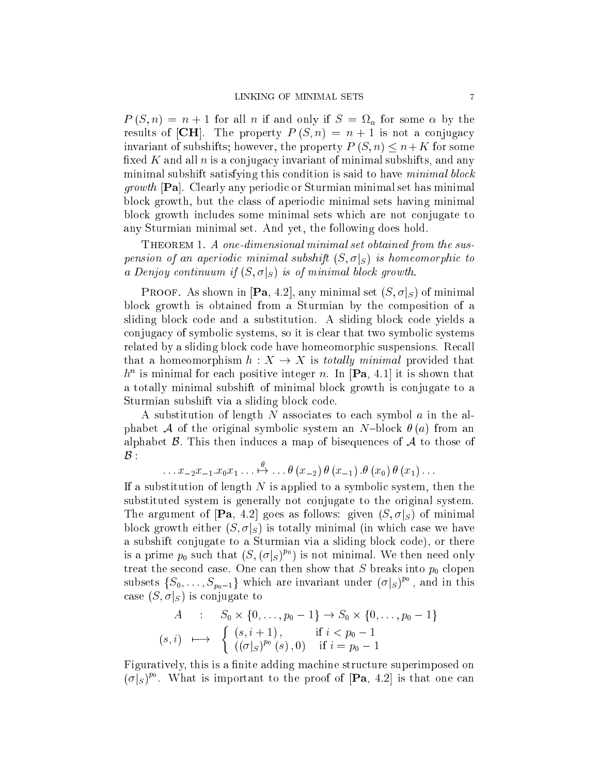$P(S,n) = n+1$  for all n if and only if  $S = \Omega_{\alpha}$  for some  $\alpha$  by the results of [CH]. The property  $P(S,n) = n+1$  is not a conjugacy invariant of subshifts; however, the property  $P(S, n) \leq n+K$  for some fixed K and all  $n$  is a conjugacy invariant of minimal subshifts, and any minimal subshift satisfying this condition is said to have *minimal block* growth [Pa]. Clearly any periodic or Sturmian minimal set has minimal block growth, but the class of aperiodic minimal sets having minimal block growth includes some minimal sets which are not conjugate to any Sturmian minimal set. And yet, the following does hold.

Theorem 1. A one-dimensional minimal set obtained from the suspension of an aperiodic minimal subshift  $(S, \sigma|_S)$  is homeomorphic to a Denjoy continuum if  $(S, \sigma|_S)$  is of minimal block growth.

**PROOF.** As shown in [Pa, 4.2], any minimal set  $(S, \sigma|_S)$  of minimal block growth is obtained from a Sturmian by the composition of a sliding block code and a substitution. A sliding block code yields a conjugacy of symbolic systems, so it is clear that two symbolic systems related by a sliding block code have homeomorphic suspensions. Recall that a homeomorphism  $h: X \to X$  is totally minimal provided that  $h^n$  is minimal for each positive integer n. In  $|\mathbf{Pa}, 4.1|$  it is shown that a totally minimal subshift of minimal block growth is conjugate to a Sturmian subshift via a sliding block code.

A substitution of length N associates to each symbol  $\alpha$  in the alphabet A of the original symbolic system an N-block  $\theta$  (a) from an alphabet  $\beta$ . This then induces a map of bisequences of  $\mathcal A$  to those of  $\mathcal{B}$  :

$$
\ldots x_{-2}x_{-1}.x_0x_1\ldots \stackrel{\theta}{\mapsto} \ldots \theta(x_{-2})\theta(x_{-1}).\theta(x_0)\theta(x_1)\ldots
$$

If a substitution of length  $N$  is applied to a symbolic system, then the substituted system is generally not conjugate to the original system. The argument of  $[\mathbf{Pa}, 4.2]$  goes as follows: given  $(S, \sigma|_S)$  of minimal block growth either  $(S, \sigma | S)$  is totally minimal (in which case we have a subshift conjugate to a Sturmian via a sliding block code), or there is a prime  $p_0$  such that  $(S, (\sigma|_S)^{p_0})$  is not minimal. We then need only treat the second case. One can then show that  $S$  breaks into  $p_0$  clopen subsets  $\{S_0, \ldots, S_{p_0-1}\}$  which are invariant under  $(\sigma|_S)^{p_0}$ , and in this case  $(S, \sigma|_S)$  is conjugate to

$$
A : S_0 \times \{0, ..., p_0 - 1\} \to S_0 \times \{0, ..., p_0 - 1\}
$$
  
\n
$$
(s, i) \mapsto \begin{cases} (s, i + 1), & \text{if } i < p_0 - 1 \\ ((\sigma|_S)^{p_0}(s), 0) & \text{if } i = p_0 - 1 \end{cases}
$$

Figuratively, this is a finite adding machine structure superimposed on  $(\sigma|_S)^{p_0}$ . What is important to the proof of [Pa, 4.2] is that one can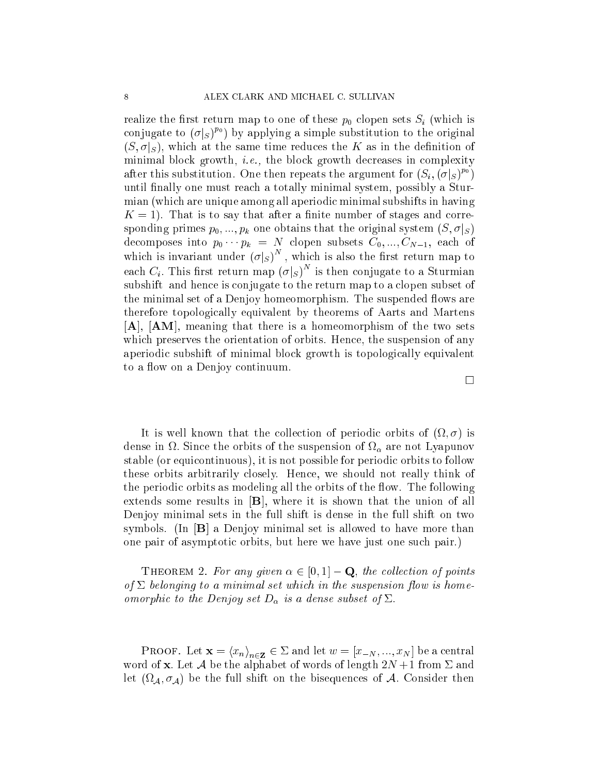realize the first return map to one of these  $p_0$  clopen sets  $S_i$  (which is conjugate to  $(\sigma|_S)^{p_0}$  by applying a simple substitution to the original  $(S, \sigma|_S)$ , which at the same time reduces the K as in the definition of minimal block growth, i.e., the block growth decreases in complexity after this substitution. One then repeats the argument for  $(S_i, (\sigma|_S)^{p_0})$ until finally one must reach a totally minimal system, possibly a Sturmian (which are unique among all aperiodic minimal subshifts in having  $K = 1$ ). That is to say that after a finite number of stages and corresponding primes  $p_0, ..., p_k$  one obtains that the original system  $(S, \sigma |_{S})$ decomposes into  $p_0 \cdots p_k = N$  clopen subsets  $C_0, ..., C_{N-1}$ , each of which is invariant under  $(\sigma|_S)^N$ ; which is also the rst return map to each  $C_i$ . This first return map  $(\sigma|_S)^N$  is then conjugate to a Sturmian subshift and hence is conjugate to the return map to a clopen subset of the minimal set of a Denjoy homeomorphism. The suspended flows are therefore topologically equivalent by theorems of Aarts and Martens [A], [AM], meaning that there is a homeomorphism of the two sets which preserves the orientation of orbits. Hence, the suspension of any aperiodic subshift of minimal block growth is topologically equivalent to a flow on a Denjoy continuum.

It is well known that the collection of periodic orbits of  $(\Omega, \sigma)$  is  $\alpha$  are  $\alpha$  in the orbit of the suspension of  $\alpha$  are not Lyapunov stable (or equicontinuous), it is not possible for periodic orbits to follow these orbits arbitrarily closely. Hence, we should not really think of the periodic orbits as modeling all the orbits of the flow. The following extends some results in  $[B]$ , where it is shown that the union of all Denjoy minimal sets in the full shift is dense in the full shift on two symbols. (In  $[\mathbf{B}]$  a Denjoy minimal set is allowed to have more than one pair of asymptotic orbits, but here we have just one such pair.)

**THEOREM 2.** For any given  $\alpha \in [0, 1] - \mathbf{Q}$ , the collection of points of  $\Sigma$  belonging to a minimal set which in the suspension flow is homeomorphic to the Denjoy set  $D_{\alpha}$  is a dense subset of  $\Sigma$ .

PROOF. Let  $\mathbf{x} = (x_n)_{n \in \mathbf{Z}} \in \mathcal{Z}$  and let  $w = [x_{-N},..., x_N]$  be a central word of **x**. Let  $\mathcal A$  be the alphabet of words of length  $2N+1$  from  $\Sigma$  and let (17,4,  $\sigma_{\mathcal{A}}$ ) be the full shift on the bisequences of  $\mathcal{A}.$  Consider then

 $\Box$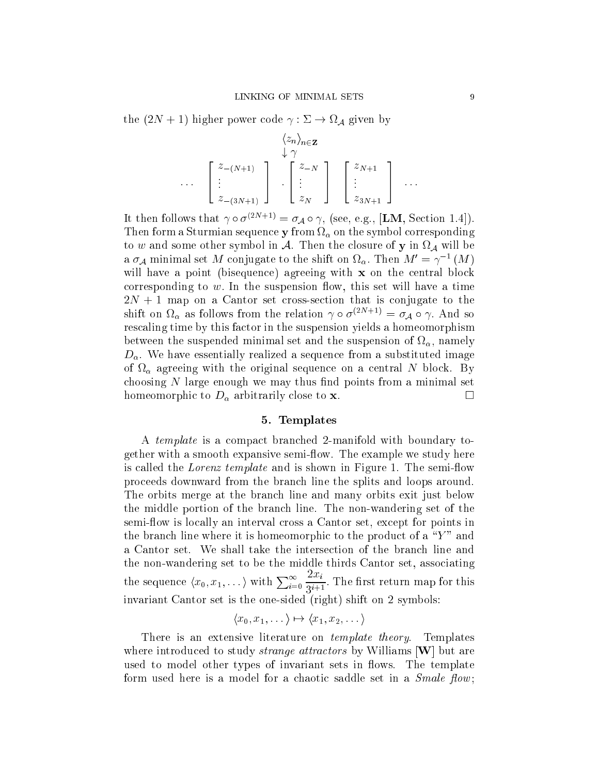the  $(2N + 1)$  higher power code  $\gamma : \Sigma \to \Omega_{\mathcal{A}}$  given by

$$
\langle z_n \rangle_{n \in \mathbf{Z}} \downarrow \gamma
$$
  
\n
$$
\cdots \quad \begin{bmatrix} z_{-(N+1)} \\ \vdots \\ z_{-(3N+1)} \end{bmatrix} \quad \begin{bmatrix} z_{-N} \\ \vdots \\ z_N \end{bmatrix} \quad \begin{bmatrix} z_{N+1} \\ \vdots \\ z_{3N+1} \end{bmatrix} \quad \cdots
$$

It then follows that  $\gamma \circ \sigma^{(2N+1)} = \sigma_{\mathcal{A}} \circ \gamma$ , (see, e.g., [LM, Section 1.4]).  $T$  hen form a Sturmian sequence  $y$  from  $\alpha_0$  on the symbol corresponding to  $w$  and some other symbol in  $\mathcal A$ . Then the closure of  $\mathbf y$  in  $\Omega_\mathcal A$  will be a  $\sigma_{\mathcal{A}}$  minimal set M conjugate to the shift on  $\Omega_{\alpha}$ . Then  $M'=\gamma^{-1}\left(M\right)$ will have a point (bisequence) agreeing with x on the central block corresponding to  $w$ . In the suspension flow, this set will have a time  $2N + 1$  map on a Cantor set cross-section that is conjugate to the shift on  $\Omega_{\alpha}$  as follows from the relation  $\gamma \circ \sigma^{(2N+1)} = \sigma_{\mathcal{A}} \circ \gamma$ . And so rescaling time by this factor in the suspension yields a homeomorphism between the suspended minimal set and the suspension of  $\mathfrak{so}_\alpha$ , namely  $D_{\alpha}$ . We have essentially realized a sequence from a substituted image of  $\Omega_{\alpha}$  agreeing with the original sequence on a central N block. By choosing  $N$  large enough we may thus find points from a minimal set homeomorphic to  $D_{\alpha}$  arbitrarily close to **x**.

#### 5. Templates

A template is a compact branched 2-manifold with boundary together with a smooth expansive semi-flow. The example we study here is called the *Lorenz template* and is shown in Figure 1. The semi-flow proceeds downward from the branch line the splits and loops around. The orbits merge at the branch line and many orbits exit just below the middle portion of the branch line. The non-wandering set of the semi-flow is locally an interval cross a Cantor set, except for points in the branch line where it is homeomorphic to the product of a  $\sqrt{\ }Y$ " and a Cantor set. We shall take the intersection of the branch line and the non-wandering set to be the middle thirds Cantor set, associating the sequence  $\langle x_0, x_1, \dots \rangle$  with  $\sum_{i=0}^{\infty}$  $2x_i$  $3^{i+1}$  . The mse return map for this invariant Cantor set is the one-sided (right) shift on 2 symbols:

$$
\langle x_0, x_1, \dots \rangle \mapsto \langle x_1, x_2, \dots \rangle
$$

There is an extensive literature on *template theory*. Templates where introduced to study *strange attractors* by Williams [W] but are used to model other types of invariant sets in flows. The template form used here is a model for a chaotic saddle set in a  $Smale \, flow;$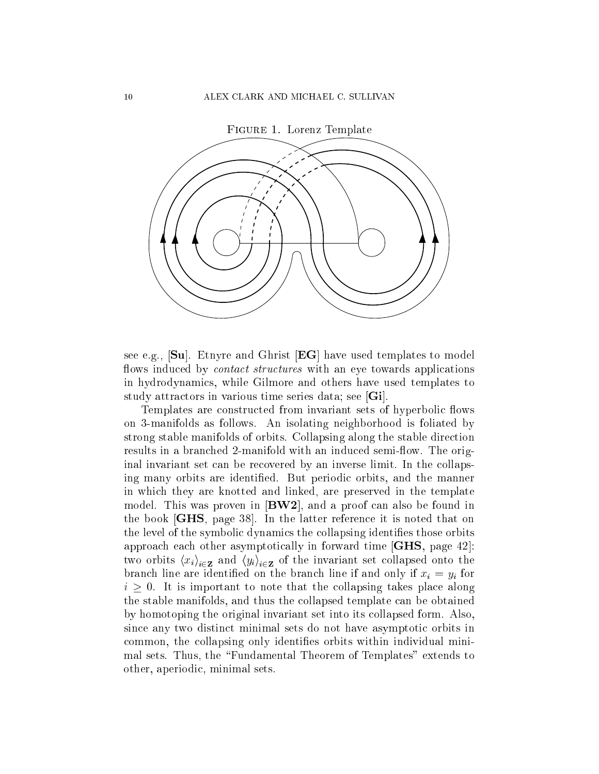

see e.g., [Su]. Etnyre and Ghrist [EG] have used templates to model flows induced by *contact structures* with an eye towards applications in hydrodynamics, while Gilmore and others have used templates to study attractors in various time series data; see [Gi].

Templates are constructed from invariant sets of hyperbolic flows on 3-manifolds as follows. An isolating neighborhood is foliated by strong stable manifolds of orbits. Collapsing along the stable direction results in a branched 2-manifold with an induced semi-flow. The original invariant set can be recovered by an inverse limit. In the collapsing many orbits are identified. But periodic orbits, and the manner in which they are knotted and linked, are preserved in the template model. This was proven in [BW2], and a proof can also be found in the book [GHS, page 38]. In the latter reference it is noted that on the level of the symbolic dynamics the collapsing identifies those orbits approach each other asymptotically in forward time [GHS, page 42]: two orbits  $\langle x_i \rangle_{i \in \mathbf{Z}}$  and  $\langle y_i \rangle_{i \in \mathbf{Z}}$  of the invariant set collapsed onto the branch line are identified on the branch line if and only if  $x_i = y_i$  for  $i \geq 0$ . It is important to note that the collapsing takes place along the stable manifolds, and thus the collapsed template can be obtained by homotoping the original invariant set into its collapsed form. Also, since any two distinct minimal sets do not have asymptotic orbits in common, the collapsing only identies orbits within individual minimal sets. Thus, the \Fundamental Theorem of Templates" extends to other, aperiodic, minimal sets.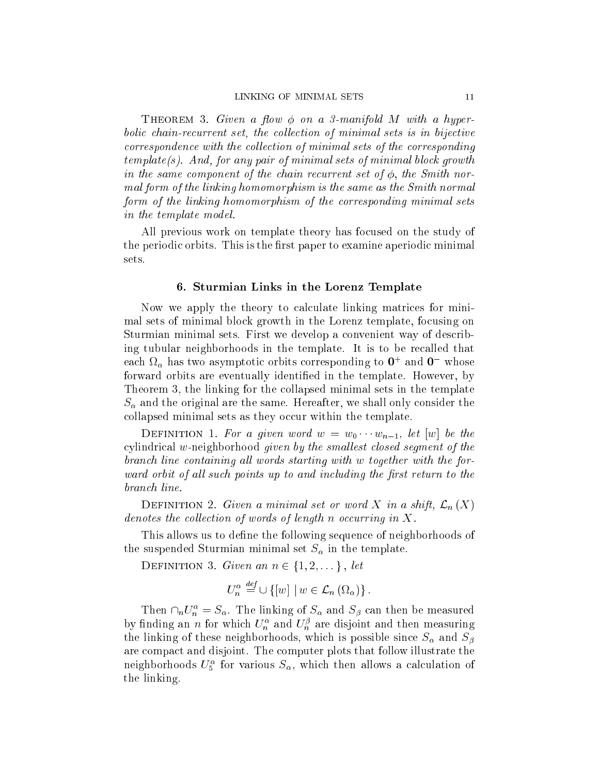THEOREM 3. Given a flow  $\phi$  on a 3-manifold M with a hyperbolic chain-recurrent set, the collection of minimal sets is in bijective correspondence with the collection of minimal sets of the corresponding template(s). And, for any pair of minimal sets of minimal block growth in the same component of the chain recurrent set of  $\phi$ , the Smith normal form of the linking homomorphism is the same as the Smith normal form of the linking homomorphism of the corresponding minimal sets in the template model.

All previous work on template theory has focused on the study of the periodic orbits. This is the first paper to examine aperiodic minimal sets.

#### 6. Sturmian Links in the Lorenz Template

Now we apply the theory to calculate linking matrices for minimal sets of minimal block growth in the Lorenz template, focusing on Sturmian minimal sets. First we develop a convenient way of describing tubular neighborhoods in the template. It is to be recalled that each  $\Omega_{\alpha}$  has two asymptotic orbits corresponding to  $\mathbf{U}^+$  and  $\mathbf{U}^-$  whose forward orbits are eventually identified in the template. However, by Theorem 3, the linking for the collapsed minimal sets in the template  $S_{\alpha}$  and the original are the same. Hereafter, we shall only consider the collapsed minimal sets as they occur within the template.

DEFINITION 1. For a given word  $w = w_0 \cdots w_{n-1}$ , let  $|w|$  be the cylindrical  $w$ -neighborhood given by the smallest closed segment of the branch line containing all words starting with w together with the forward orbit of all such points up to and including the first return to the branch line.

DEFINITION 2. Given a minimal set or word X in a shift,  $\mathcal{L}_n(X)$ denotes the collection of words of length n occurring in X.

This allows us to define the following sequence of neighborhoods of the suspended Sturmian minimal set  $S_{\alpha}$  in the template.

DEFINITION 3. Given an  $n \in \{1, 2, \ldots\}$ , let

$$
U_n^{\alpha} \stackrel{\text{def}}{=} \cup \{ [w] \mid w \in \mathcal{L}_n (\Omega_\alpha) \} .
$$

Then  $\cap_n U_n^{\alpha} = S_{\alpha}$ . The linking of  $S_{\alpha}$  and  $S_{\beta}$  can then be measured by finding an *n* for which  $U_n^{\alpha}$  and  $U_n^{\beta}$  are disjoint and then measuring the linking of these neighborhoods, which is possible since  $S_{\alpha}$  and  $S_{\beta}$ are compact and disjoint. The computer plots that follow illustrate the neighborhoods  $U_5^{\alpha}$  for various  $S_{\alpha}$ , which then allows a calculation of the linking.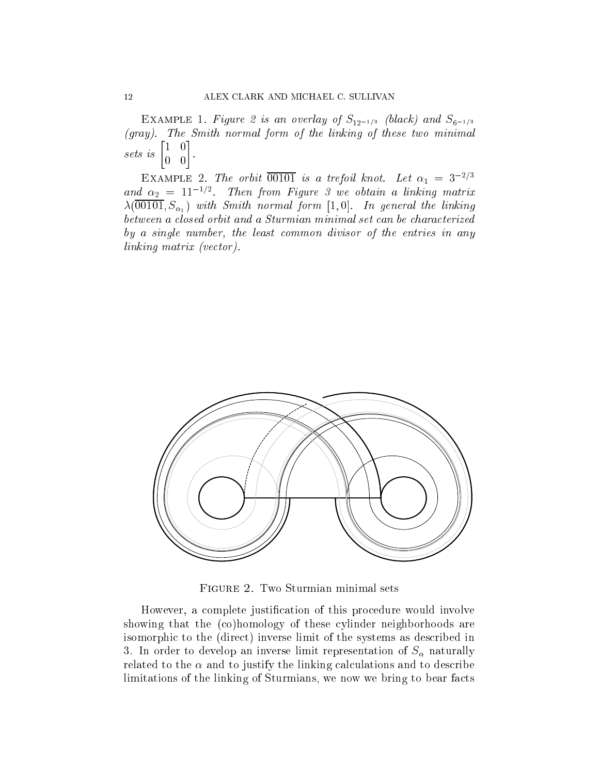EXAMPLE 1. Figure 2 is an overlay of  $S_{12^{-1/3}}$  (black) and  $S_{6^{-1/3}}$ (gray). The Smith normal form of the linking of these two minimal sets is  $\begin{bmatrix} 1 & 0 \\ 0 & 0 \end{bmatrix}$ --

EXAMPLE 2. The orbit  $\overline{00101}$  is a trefoil knot. Let  $\alpha_1 = 3^{-2/3}$ and  $\alpha_2 = 11^{-1/2}$ . Then from Figure 3 we obtain a linking matrix  $\lambda(00101, S_{\alpha_1})$  with Smith normal form [1,0]. In general the linking between a closed orbit and a Sturmian minimal set can be characterized by a single number, the least common divisor of the entries in any linking matrix (vector).



However, a complete justification of this procedure would involve showing that the (co)homology of these cylinder neighborhoods are isomorphic to the (direct) inverse limit of the systems as described in 3. In order to develop an inverse limit representation of  $S_\alpha$  naturally related to the  $\alpha$  and to justify the linking calculations and to describe limitations of the linking of Sturmians, we now we bring to bear facts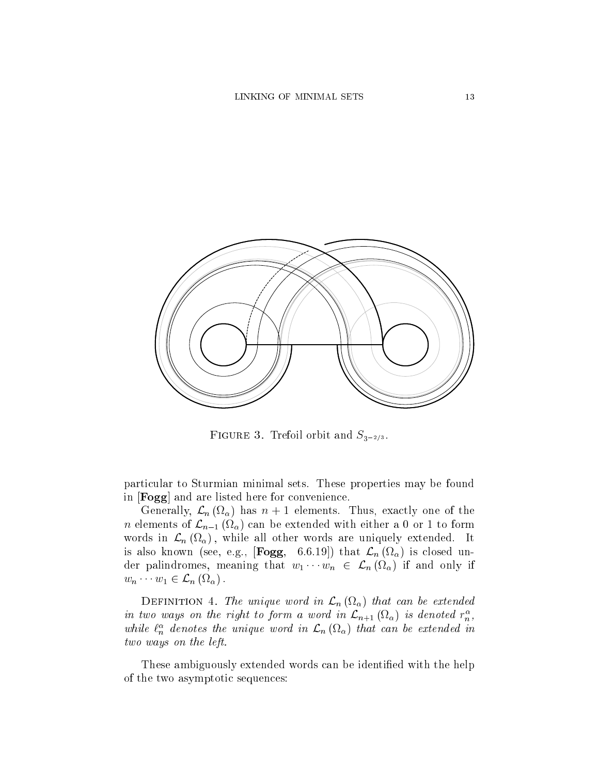

FIGURE 3. Trefoil orbit and  $S_{3-2/3}$ .

particular to Sturmian minimal sets. These properties may be found in [Fogg] and are listed here for convenience.

Generally,  $\mathcal{L}_n$  ( $\Omega_\alpha$ ) has  $n+1$  elements. Thus, exactly one of the  $n$  elements of  $\mathcal{L}_{n-1}$  (M $_{\alpha}$ ) can be extended with either a U or 1 to form words in  $\mathcal{L}_n$  (se $\alpha$ ), while all other words are uniquely extended. To is also known (see, e.g.,  $|F \circ B$ ,  $\circ \cdots \circ |$ ) that  $\omega_n$  (sig) is closed under palindromes, meaning that  $w_1 \cdots w_n ~\in~ \mathcal{L}_n$  (17 $_\alpha$ ) if and only if  $w_n \cdots w_1 \in \mathcal{L}_n \left( \Omega_{\alpha} \right)$ .

 $D$  Definition 1. The unique word in  $\mathcal{L}_n$  (ii) that can be extended in two ways on the right to form a word in  $\mathcal{L}_{n+1}(\Omega_{\alpha})$  is denoted  $r_n^{\alpha}$ , while  $\ell_n^{\alpha}$  denotes the unique word in  $\mathcal{L}_n(\Omega_\alpha)$  that can be extended in two ways on the left.

These ambiguously extended words can be identified with the help of the two asymptotic sequences: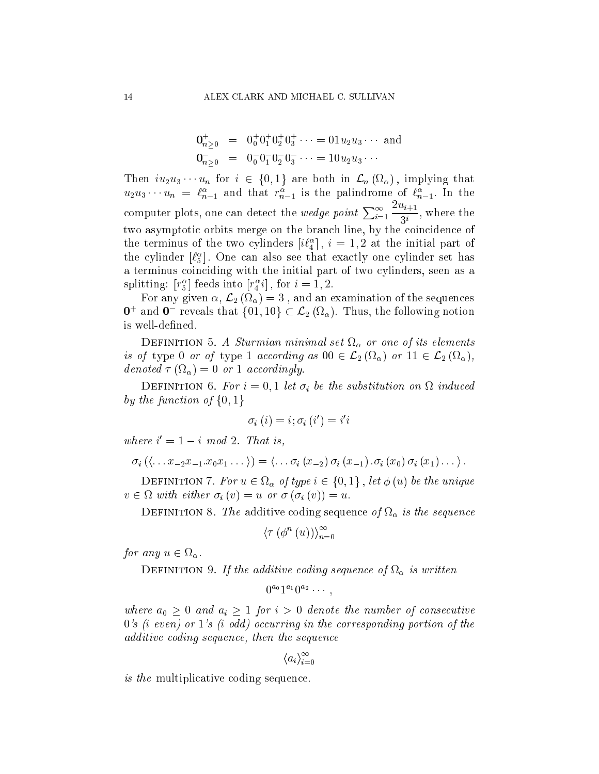$$
\begin{array}{rcl}\n\mathbf{0}_{n\geq 0}^{+} & = & 0_{0}^{+}0_{1}^{+}0_{2}^{+}0_{3}^{+}\cdots = 01u_{2}u_{3}\cdots \text{ and} \\
\mathbf{0}_{n\geq 0}^{-} & = & 0_{0}^{-}0_{1}^{-}0_{2}^{-}0_{3}^{-}\cdots = 10u_{2}u_{3}\cdots\n\end{array}
$$

Then  $iu_2u_3\cdots u_n$  for  $i \in \{0,1\}$  are both in  $\mathcal{L}_n(\Omega_\alpha)$ , implying that  $u_2u_3\cdots u_n = \ell_{n-1}^{\alpha}$  and that  $r_{n-1}^{\alpha}$  is the palindrome of  $\ell_{n-1}^{\alpha}$ . In the computer plots, one can detect the *wedge point*  $\sum_{i=1}^{\infty}$  $2u_{i+1}$  $3^{i}$  , where the two asymptotic orbits merge on the branch line, by the coincidence of the terminus of the two cylinders  $[i\ell_4^{\alpha}]$ ,  $i = 1, 2$  at the initial part of the cylinder  $[\ell_5^{\alpha}]$ . One can also see that exactly one cylinder set has a terminus coinciding with the initial part of two cylinders, seen as a splitting:  $|r_5^{\alpha}|$  feeds into  $|r_4^{\alpha}i|$ , for  $i=1,2$ .

For any given  $\alpha$ ,  $\mathcal{L}_2$  ( $\Omega_\alpha$ ) = 3, and an examination of the sequences  $\mathbf{0}^+$  and  $\mathbf{0}^-$  reveals that  $\{01, 10\} \subset \mathcal{L}_2$  ( $\Omega_\alpha$ ). Thus, the following notion is well-defined.

 $D$  or in true of  $T$  and  $T$  is a set in the interval set  $\mathfrak{g}_\alpha$  or one of the elements is of type 0 or of type 1 according as 00  $\subset \mathcal{L}_2$  (sig) or 11  $\subset \mathcal{L}_2$  (sig), denoted  $\tau (M_{\alpha}) = 0$  or 1 accordingly.

DEFINITION 6. For  $i = 0, 1$  let  $\sigma_i$  be the substitution on  $\Omega$  induced by the function of  $\{0,1\}$ 

$$
\sigma_{i}\left(i\right)=i;\sigma_{i}\left(i'\right)=i'i
$$

where  $i' = 1 - i \mod 2$ . That is,

$$
\sigma_i\left(\langle \ldots x_{-2}x_{-1}.x_0x_1\ldots\rangle\right)=\langle \ldots \sigma_i(x_{-2})\,\sigma_i(x_{-1})\,.\sigma_i(x_0)\,\sigma_i(x_1)\ldots\rangle.
$$

DEFINITION 7. For  $u \in \Omega_{\alpha}$  of type  $i \in \{0,1\}$ , let  $\phi(u)$  be the unique  $v \in \Omega$  with either  $\sigma_i$   $(v) = u$  or  $\sigma_i$   $(\sigma_i$   $(v)) = u$ .

 $D$  in the finite additive coding sequence  $\sigma_j$  is  $\alpha$  to the sequence

$$
\langle \tau (\phi^n(u)) \rangle_{n=0}^{\infty}
$$

for any  $u \in \Omega_{\alpha}$ .

 $D$  in the first  $\sigma$ . If the addition country sequence  $\sigma$  is  $\alpha$  to written

 $^{a_0}1^{a_1}0^{a_2}\cdots,$ 

where  $a_0 \geq 0$  and  $a_i \geq 1$  for  $i > 0$  denote the number of consecutive  $0's$  (i even) or  $1's$  (i odd) occurring in the corresponding portion of the additive coding sequence, then the sequence

$$
\langle a_i \rangle_{i=0}^{\infty}
$$

is the multiplicative coding sequence.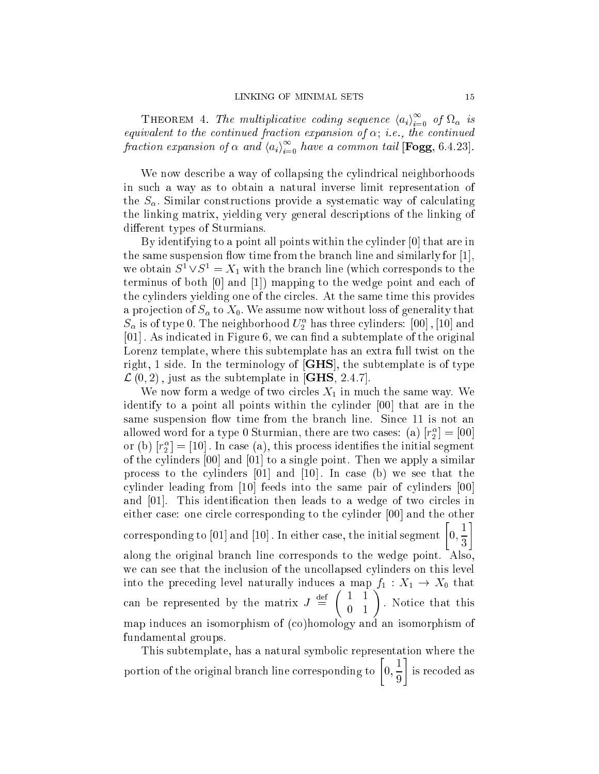**THEOREM** 4. The multiplicative coding sequence  $\langle a_i \rangle_{i=0}^{\infty}$  of  $\Omega_{\alpha}$  is equivalent to the continued fraction expansion of  $\alpha$ ; i.e., the continued fraction expansion of  $\alpha$  and  $\langle a_i \rangle_{i=0}^{\infty}$  have a common tail [Fogg, 6.4.23].

We now describe a way of collapsing the cylindrical neighborhoods in such a way as to obtain a natural inverse limit representation of the  $S_{\alpha}$ . Similar constructions provide a systematic way of calculating the linking matrix, yielding very general descriptions of the linking of different types of Sturmians.

By identifying to a point all points within the cylinder [0] that are in the same suspension flow time from the branch line and similarly for  $[1]$ , we obtain  $S^1 \vee S^1 = X_1$  with the branch line (which corresponds to the terminus of both [0] and [1]) mapping to the wedge point and each of the cylinders yielding one of the circles. At the same time this provides a projection of  $S_{\alpha}$  to  $X_0$ . We assume now without loss of generality that  $S_{\alpha}$  is of type 0. The neighborhood  $U_{2}^{\alpha}$  has three cylinders:  $[00]$  ,  $[10]$  and [01]. As indicated in Figure 6, we can find a subtemplate of the original Lorenz template, where this subtemplate has an extra full twist on the right, 1 side. In the terminology of [GHS], the subtemplate is of type  $\mathcal{L}(0, 2)$ , just as the subtemplate in [GHS, 2.4.7].

We now form a wedge of two circles  $X_1$  in much the same way. We identify to a point all points within the cylinder [00] that are in the same suspension flow time from the branch line. Since 11 is not an allowed word for a type 0 Sturmian, there are two cases: (a)  $[r_2^{\alpha}] = [00]$ or (b)  $|r_2^{\alpha}| = |10|$ . In case (a), this process identifies the initial segment of the cylinders [00] and [01] to a single point. Then we apply a similar process to the cylinders [01] and [10] : In case (b) we see that the cylinder leading from [10] feeds into the same pair of cylinders [00] and  $[01]$ . This identification then leads to a wedge of two circles in either case: one circle corresponding to the cylinder [00] and the other corresponding to  $\left[01\right]$  and  $\left[10\right]$  . In either case, the initial segment and the state of the state of  $0,\frac{1}{2}$  along the original branch line corresponds to the wedge point. Also, we can see that the inclusion of the uncollapsed cylinders on this level into the preceding level naturally induces a map  $f_1: X_1 \to X_0$  that can be represented by the matrix  $J \equiv$  $\sim$  : Notice that this map induces an isomorphism of (co)homology and an isomorphism of fundamental groups.

This subtemplate, has a natural symbolic representation where the portion of the original branch line corresponding to  $\left[0, \frac{1}{2}\right]$ --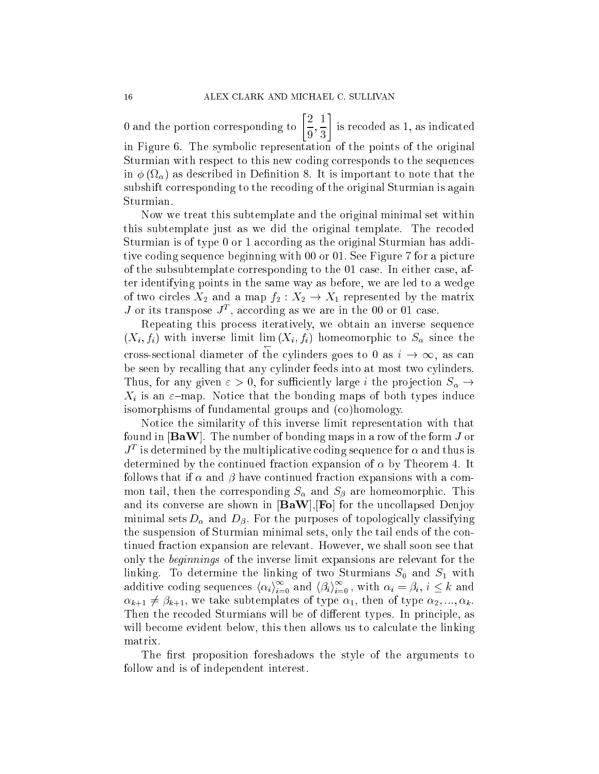--

0 and the portion corresponding to  $\left[\frac{2}{\epsilon}\right]$  $\overline{9}$ ,  $\overline{3}$ is recoded as 1, as indicated in Figure 6. The symbolic representation of the points of the original Sturmian with respect to this new coding corresponds to the sequences in  $\phi(\Omega_\alpha)$  as described in Definition 8. It is important to note that the subshift corresponding to the recoding of the original Sturmian is again Sturmian.

Now we treat this subtemplate and the original minimal set within this subtemplate just as we did the original template. The recoded Sturmian is of type 0 or 1 according as the original Sturmian has additive coding sequence beginning with 00 or 01: See Figure 7 for a picture of the subsubtemplate corresponding to the 01 case. In either case, after identifying points in the same way as before, we are led to a wedge of two circles  $X_2$  and a map  $f_2 : X_2 \to X_1$  represented by the matrix J or its transpose  $J<sup>T</sup>$ , according as we are in the 00 or 01 case.

Repeating this process iteratively, we obtain an inverse sequence  $(X_i, f_i)$  with inverse limit  $\lim (X_i, f_i)$  homeomorphic to  $S_\alpha$  since the cross-sectional diameter of the cylinders goes to 0 as  $i \to \infty$ , as can be seen by recalling that any cylinder feeds into at most two cylinders. Thus, for any given  $\varepsilon > 0$ , for sufficiently large i the projection  $S_\alpha \to$  $X_i$  is an  $\varepsilon$ -map. Notice that the bonding maps of both types induce isomorphisms of fundamental groups and (co)homology.

Notice the similarity of this inverse limit representation with that found in  $\mathbf{Baw}$ . The number of bonding maps in a row of the form J or  $J<sup>T</sup>$  is determined by the multiplicative coding sequence for  $\alpha$  and thus is determined by the continued fraction expansion of  $\alpha$  by Theorem 4. It follows that if  $\alpha$  and  $\beta$  have continued fraction expansions with a common tail, then the corresponding  $S_{\alpha}$  and  $S_{\beta}$  are homeomorphic. This and its converse are shown in  $[BaW], [Fo]$  for the uncollapsed Denjoy minimal sets  $D_{\alpha}$  and  $D_{\beta}$ . For the purposes of topologically classifying the suspension of Sturmian minimal sets, only the tail ends of the continued fraction expansion are relevant. However, we shall soon see that only the beginnings of the inverse limit expansions are relevant for the linking. To determine the linking of two Sturmians  $S_0$  and  $S_1$  with additive coding sequences  $\langle \alpha_i \rangle_{i=0}^{\infty}$  and  $\langle \beta_i \rangle_{i=0}^{\infty}$ , with  $\alpha_i = \beta_i$ ,  $i \leq k$  and  $\alpha_{k+1} \neq \beta_{k+1}$ , we take subtemplates of type  $\alpha_1$ , then of type  $\alpha_2, ..., \alpha_k$ . Then the recoded Sturmians will be of different types. In principle, as will become evident below, this then allows us to calculate the linking matrix.

The first proposition foreshadows the style of the arguments to follow and is of independent interest.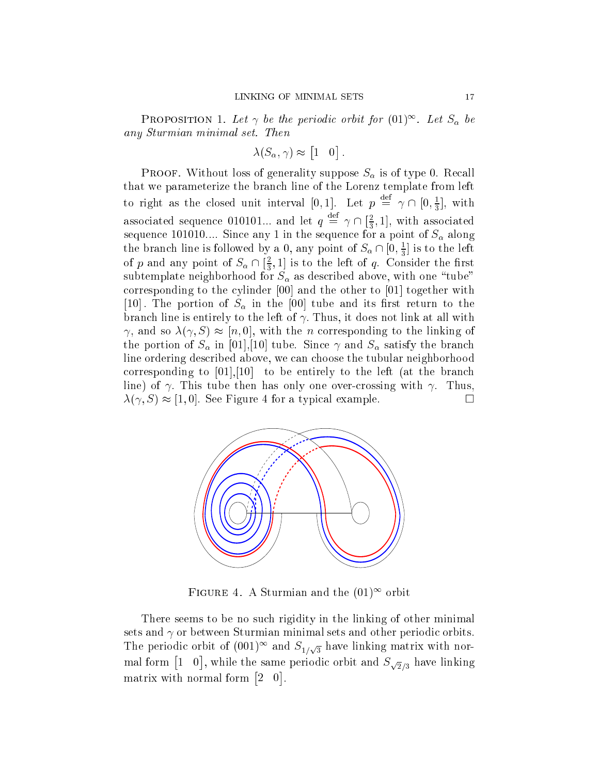PROPOSITION 1. Let  $\gamma$  be the periodic orbit for  $(01)^\infty$ . Let  $S_\alpha$  be any Sturmian minimal set. Then

$$
\lambda(S_{\alpha}, \gamma) \approx [1 \ 0].
$$

**PROOF.** Without loss of generality suppose  $S_{\alpha}$  is of type 0. Recall that we parameterize the branch line of the Lorenz template from left to right as the closed unit interval  $[0,1]$ . Let  $p \equiv \gamma \cap [0,\frac{1}{3}]$ , with associated sequence 010101... and let  $q \equiv \gamma \cap \{\frac{2}{3}, 1\}$ , with associated sequence 101010.... Since any 1 in the sequence for a point of  $S_\alpha$  along the branch line is followed by a 0, any point of  $S_\alpha \cap [0, \frac{1}{3}]$  is to the left of p and any point of  $S_\alpha \cap [\frac{2}{3}, 1]$  is to the left of q. Con  $\frac{2}{3}$ , 1] is to the left of  $q$ . Consider the first subtemplate neighborhood for  $S_{\alpha}$  as described above, with one "tube" corresponding to the cylinder [00] and the other to [01] together with [10]. The portion of  $S_\alpha$  in the [00] tube and its first return to the branch line is entirely to the left of  $\gamma$ . Thus, it does not link at all with  $\gamma$ , and so  $\lambda(\gamma, S) \approx [n, 0]$ , with the *n* corresponding to the linking of the portion of  $S_{\alpha}$  in [01],[10] tube. Since  $\gamma$  and  $S_{\alpha}$  satisfy the branch line ordering described above, we can choose the tubular neighborhood corresponding to  $[01],[10]$  to be entirely to the left (at the branch line) of  $\gamma$ . This tube then has only one over-crossing with  $\gamma$ . Thus,  $\lambda(\gamma, S) \approx [1, 0]$ . See Figure 4 for a typical example.



Figure 4. A Sturmian and the (01)1 orbit

There seems to be no such rigidity in the linking of other minimal sets and  $\gamma$  or between Sturmian minimal sets and other periodic orbits. The periodic orbit of  $(001)^\infty$  and  $S_{1/\sqrt{3}}$  have linking matrix with normal form  $\lceil$ ], while the same periodic orbit and  $S_{\sqrt{2}/3}$  have linking matrix with normal form  $\lceil$ \_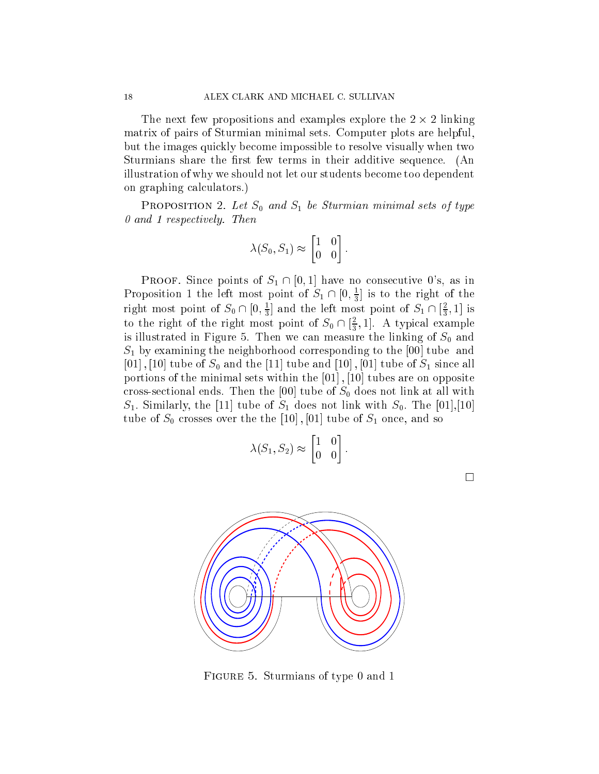The next few propositions and examples explore the 2 - 2 linking matrix of pairs of Sturmian minimal sets. Computer plots are helpful, but the images quickly become impossible to resolve visually when two Sturmians share the first few terms in their additive sequence. (An illustration of why we should not let our students become too dependent on graphing calculators.)

**PROPOSITION** 2. Let  $S_0$  and  $S_1$  be Sturmian minimal sets of type 0 and 1 respectively. Then

$$
\lambda(S_0, S_1) \approx \begin{bmatrix} 1 & 0 \\ 0 & 0 \end{bmatrix}.
$$

**PROOF.** Since points of  $S_1 \cap [0,1]$  have no consecutive 0's, as in Proposition 1 the left most point of  $S_1 \cap [0, \frac{1}{3}]$  is to the right of the right most point of  $S_0 \cap [0, \frac{1}{3}]$  and the left most point of  $S_1 \cap [\frac{2}{3}, 1]$  is to the right of the right most point of  $S_0 \cap \{\frac{2}{3}, 1\}$ . A typical example  $\overline{\phantom{a}}$ is illustrated in Figure 5. Then we can measure the linking of  $S_0$  and  $S_1$  by examining the neighborhood corresponding to the [00] tube and  $[01]$ ,  $[10]$  tube of  $S_0$  and the  $[11]$  tube and  $[10]$ ,  $[01]$  tube of  $S_1$  since all portions of the minimal sets within the [01] ; [10] tubes are on opposite cross-sectional ends. Then the  $[00]$  tube of  $S_0$  does not link at all with  $S_1$ . Similarly, the [11] tube of  $S_1$  does not link with  $S_0$ . The [01],[10] tube of  $S_0$  crosses over the the [10], [01] tube of  $S_1$  once, and so

$$
\lambda(S_1, S_2) \approx \begin{bmatrix} 1 & 0 \\ 0 & 0 \end{bmatrix}.
$$

 $\Box$ 



Figure 5. Sturmians of type 0 and 1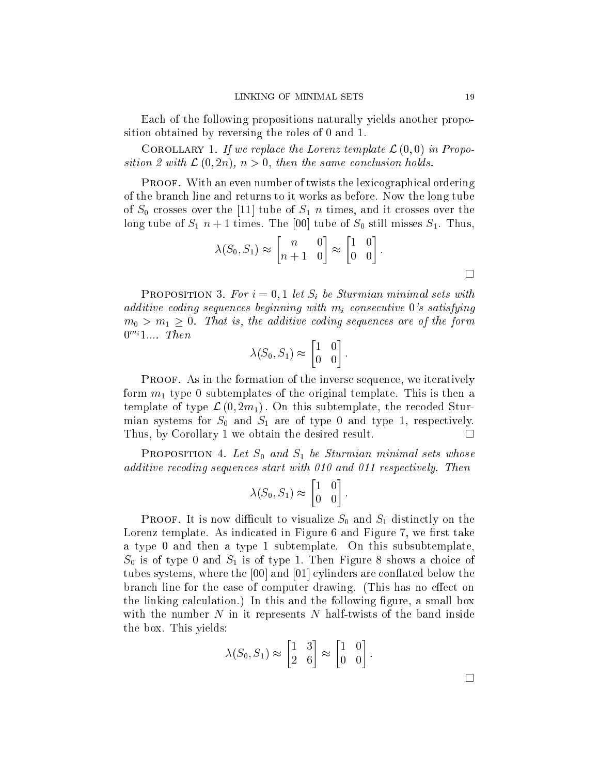Each of the following propositions naturally yields another proposition obtained by reversing the roles of 0 and 1:

 $\sim$  0. Corollary 1. If we replace the Lorenz template  $\sim$   $(0,0)$  in Proposition 2 with  $\mathcal{L}(0, 2n)$ ,  $n > 0$ , then the same conclusion holds.

Proof. With an even number of twists the lexicographical ordering of the branch line and returns to it works as before. Now the long tube of  $S_0$  crosses over the [11] tube of  $S_1$  n times, and it crosses over the long tube of  $S_1$   $n+1$  times. The [00] tube of  $S_0$  still misses  $S_1$ . Thus,

$$
\lambda(S_0, S_1) \approx \begin{bmatrix} n & 0 \\ n+1 & 0 \end{bmatrix} \approx \begin{bmatrix} 1 & 0 \\ 0 & 0 \end{bmatrix}.
$$

**PROPOSITION 3.** For  $i = 0, 1$  let  $S_i$  be Sturmian minimal sets with additive coding sequences beginning with  $m_i$  consecutive 0's satisfying  $m_0 > m_1 \geq 0$ . That is, the additive coding sequences are of the form  $0^{m_i}1...$  Then

$$
\lambda(S_0, S_1) \approx \begin{bmatrix} 1 & 0 \\ 0 & 0 \end{bmatrix}.
$$

Proof. As in the formation of the inverse sequence, we iteratively form  $m_1$  type 0 subtemplates of the original template. This is then a template of type  $\mathcal{L}(0, 2m_1)$ . On this subtemplate, the recoded Sturmian systems for  $S_0$  and  $S_1$  are of type 0 and type 1, respectively. Thus, by Corollary 1 we obtain the desired result.  $\Box$ 

**PROPOSITION** 4. Let  $S_0$  and  $S_1$  be Sturmian minimal sets whose additive recoding sequences start with 010 and 011 respectively. Then

$$
\lambda(S_0, S_1) \approx \begin{bmatrix} 1 & 0 \\ 0 & 0 \end{bmatrix}.
$$

**PROOF.** It is now difficult to visualize  $S_0$  and  $S_1$  distinctly on the Lorenz template. As indicated in Figure 6 and Figure 7, we first take a type 0 and then a type 1 subtemplate. On this subsubtemplate,  $S_0$  is of type 0 and  $S_1$  is of type 1. Then Figure 8 shows a choice of tubes systems, where the  $[00]$  and  $[01]$  cylinders are conflated below the branch line for the ease of computer drawing. (This has no effect on the linking calculation.) In this and the following figure, a small box with the number  $N$  in it represents  $N$  half-twists of the band inside the box. This yields:

$$
\lambda(S_0, S_1) \approx \begin{bmatrix} 1 & 3 \\ 2 & 6 \end{bmatrix} \approx \begin{bmatrix} 1 & 0 \\ 0 & 0 \end{bmatrix}.
$$

 $\Box$ 

 $\Box$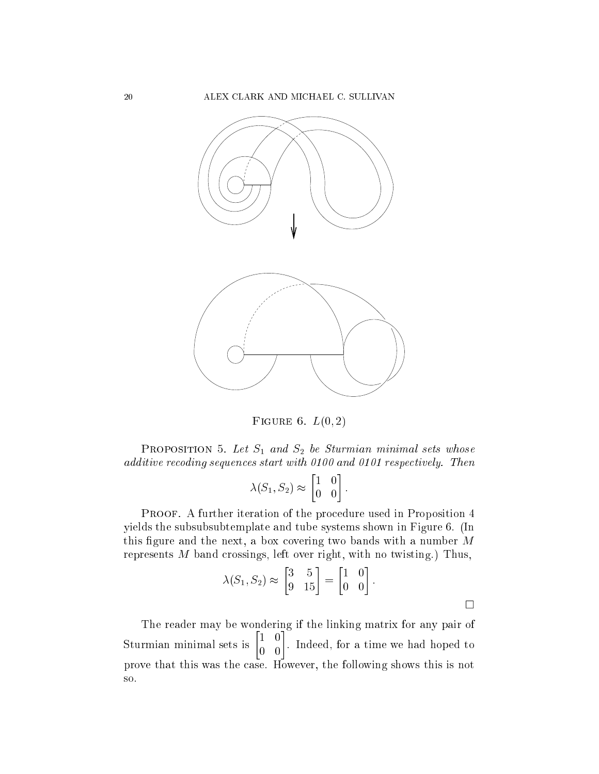

FIGURE 6.  $L(0, 2)$ 

**PROPOSITION** 5. Let  $S_1$  and  $S_2$  be Sturmian minimal sets whose additive recoding sequences start with 0100 and 0101 respectively. Then

$$
\lambda(S_1, S_2) \approx \begin{bmatrix} 1 & 0 \\ 0 & 0 \end{bmatrix}.
$$

Proof. A further iteration of the procedure used in Proposition 4 yields the subsubsubtemplate and tube systems shown in Figure 6. (In this figure and the next, a box covering two bands with a number  $M$ represents M band crossings, left over right, with no twisting.) Thus,

$$
\lambda(S_1, S_2) \approx \begin{bmatrix} 3 & 5 \\ 9 & 15 \end{bmatrix} = \begin{bmatrix} 1 & 0 \\ 0 & 0 \end{bmatrix}.
$$

 $\Box$ 

The reader may be wondering if the linking matrix for any pair of Sturmian minimal sets is  $\begin{bmatrix} 1 & 0 \\ 0 & 0 \end{bmatrix}$ --. Indeed, for a time we had hoped to prove that this was the case. However, the following shows this is not so.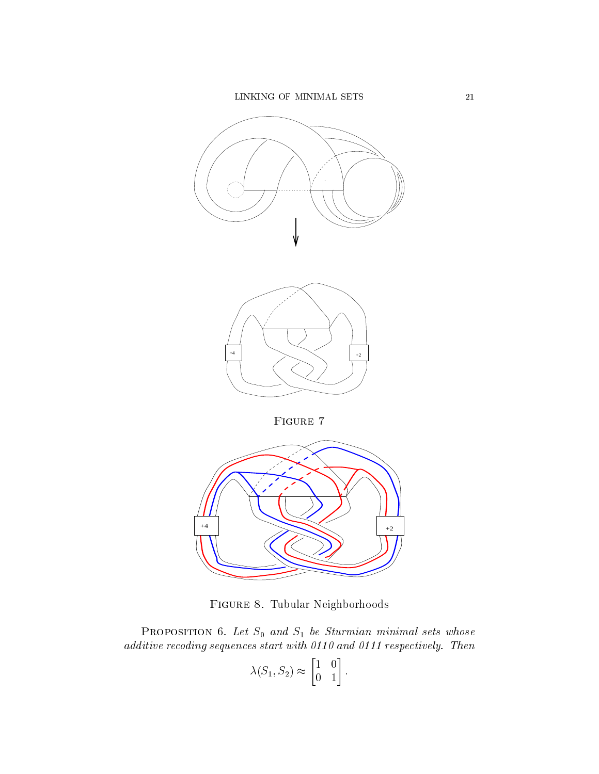



Figure 8. Tubular Neighborhoods

**PROPOSITION** 6. Let  $S_0$  and  $S_1$  be Sturmian minimal sets whose additive recoding sequences start with 0110 and 0110 and 1210 and 1211 1212 respectively.

$$
\lambda(S_1, S_2) \approx \begin{bmatrix} 1 & 0 \\ 0 & 1 \end{bmatrix}.
$$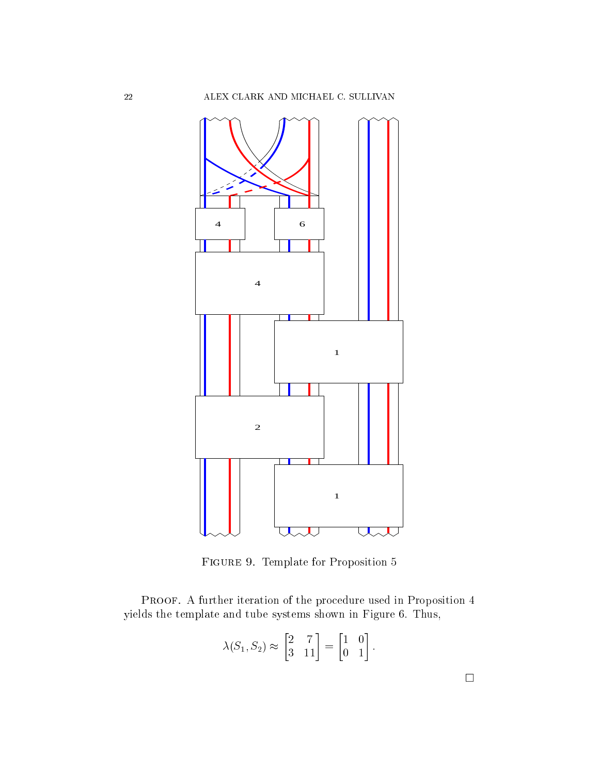

Figure 9. Template for Proposition 5

Proof. A further iteration of the procedure used in Proposition 4 yields the template and tube systems shown in Figure 6. Thus,

$$
\lambda(S_1, S_2) \approx \begin{bmatrix} 2 & 7 \\ 3 & 11 \end{bmatrix} = \begin{bmatrix} 1 & 0 \\ 0 & 1 \end{bmatrix}.
$$

 $\Box$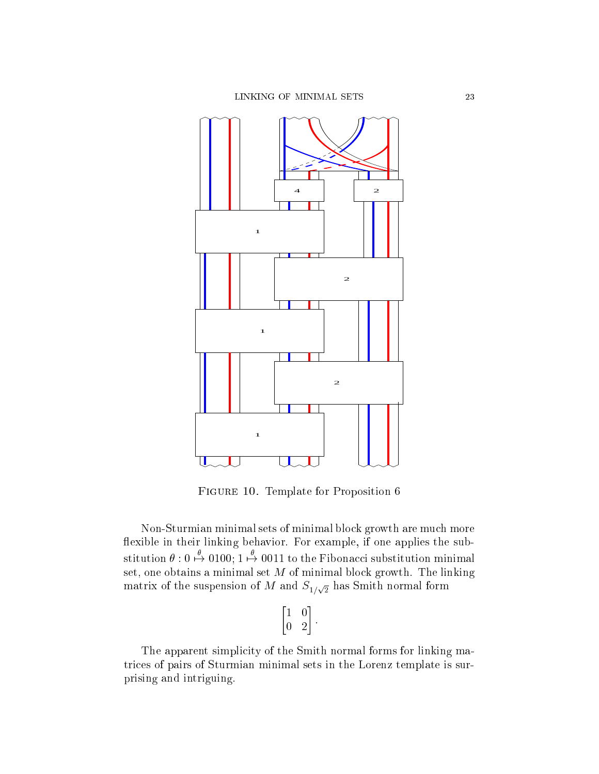

Figure 10. Template for Proposition 6

Non-Sturmian minimal sets of minimal block growth are much more flexible in their linking behavior. For example, if one applies the substitution  $\theta: 0 \stackrel{\theta}{\mapsto} 0100; 1 \stackrel{\theta}{\mapsto} 0011$  to the Fibonacci substitution minimal set, one obtains a minimal set  $M$  of minimal block growth. The linking matrix of the suspension of  $M$  and  $S_{1/\sqrt{2}}$  has Smith normal form

$$
\begin{bmatrix} 1 & 0 \\ 0 & 2 \end{bmatrix}.
$$

The apparent simplicity of the Smith normal forms for linking matrices of pairs of Sturmian minimal sets in the Lorenz template is surprising and intriguing.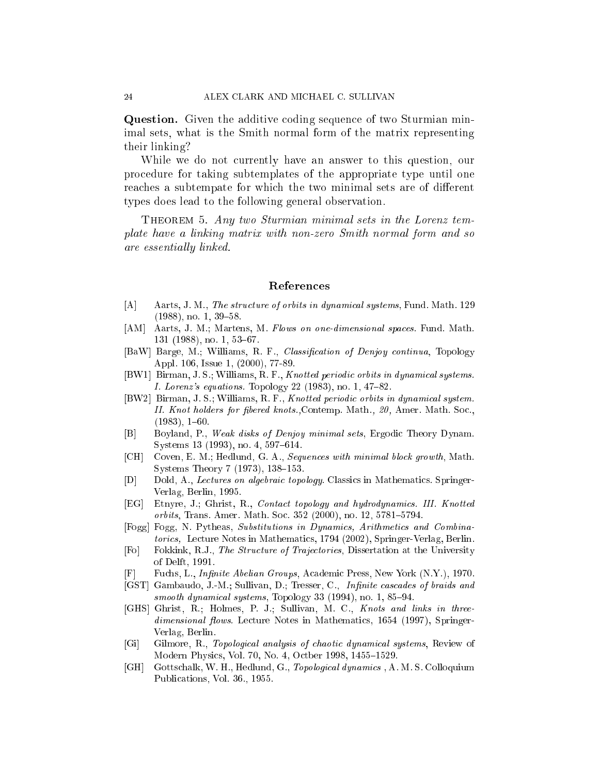Question. Given the additive coding sequence of two Sturmian minimal sets, what is the Smith normal form of the matrix representing their linking?

While we do not currently have an answer to this question, our procedure for taking subtemplates of the appropriate type until one reaches a subtempate for which the two minimal sets are of different types does lead to the following general observation.

Theorem 5. Any two Sturmian minimal sets in the Lorenz template have a linking matrix with non-zero Smith normal form and so are essentially linked.

#### References

- [A] Aarts, J. M., The structure of orbits in dynamical systems, Fund. Math. 129  $(1988)$ , no. 1, 39-58.
- [AM] Aarts, J. M.; Martens, M. Flows on one-dimensional spaces. Fund. Math.  $131$  (1988), no. 1, 53-67.
- [BaW] Barge, M.; Williams, R. F., Classification of Denjoy continua, Topology Appl. 106, Issue 1, (2000), 77-89.
- [BW1] Birman, J. S.; Williams, R. F., Knotted periodic orbits in dynamical systems. *I. Lorenz's equations.* Topology 22 (1983), no. 1,  $47–82$ .
- [BW2] Birman, J. S.; Williams, R. F., Knotted periodic orbits in dynamical system. II. Knot holders for fibered knots., Contemp. Math., 20, Amer. Math. Soc.,  $(1983), 1{-}60.$
- [B] Boyland, P., Weak disks of Denjoy minimal sets, Ergodic Theory Dynam. Systems 13 (1993), no. 4, 597-614.
- [CH] Coven, E. M.; Hedlund, G. A., Sequences with minimal block growth, Math. Systems Theory 7  $(1973)$ , 138-153.
- [D] Dold, A., Lectures on algebraic topology. Classics in Mathematics. Springer-Verlag, Berlin, 1995.
- [EG] Etnyre, J.; Ghrist, R., Contact topology and hydrodynamics. III. Knotted orbits, Trans. Amer. Math. Soc. 352 (2000), no. 12, 5781-5794.
- [Fogg] Fogg, N. Pytheas, Substitutions in Dynamics, Arithmetics and Combinatorics, Lecture Notes in Mathematics, 1794 (2002), Springer-Verlag, Berlin.
- [Fo] Fokkink, R.J., The Structure of Trajectories, Dissertation at the University of Delft, 1991.
- Fuchs, L., *Infinite Abelian Groups*, Academic Press, New York (N.Y.), 1970. E
- [GST] Gambaudo, J.-M.; Sullivan, D.; Tresser, C., Infinite cascades of braids and smooth dynamical systems, Topology 33  $(1994)$ , no. 1, 85-94.
- [GHS] Ghrist, R.; Holmes, P. J.; Sullivan, M. C., Knots and links in threedimensional flows. Lecture Notes in Mathematics, 1654 (1997), Springer-Verlag, Berlin.
- [Gi] Gilmore, R., Topological analysis of chaotic dynamical systems, Review of Modern Physics, Vol. 70, No. 4, Octber 1998, 1455-1529.
- [GH] Gottschalk, W. H., Hedlund, G., Topological dynamics , A. M. S. Colloquium Publications, Vol. 36., 1955.